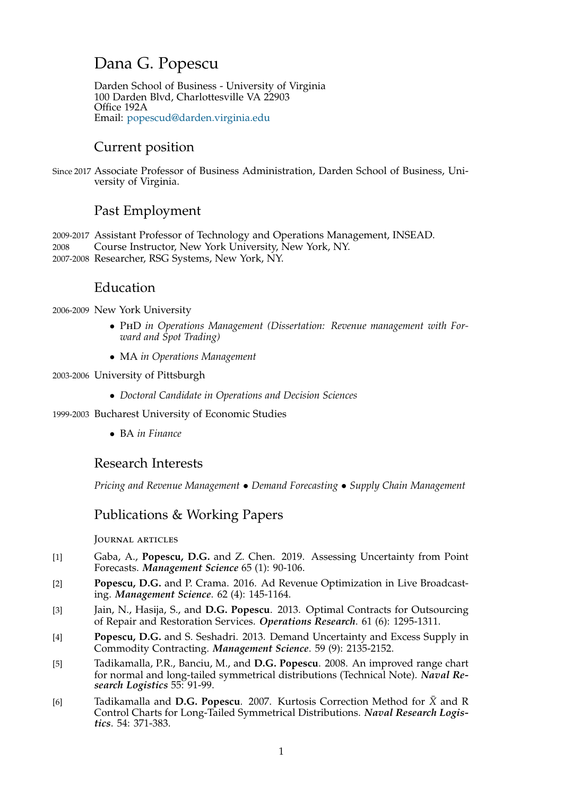# Dana G. Popescu

Darden School of Business - University of Virginia 100 Darden Blvd, Charlottesville VA 22903 Office 192A Email: popescud@darden.virginia.edu

# Current position

Since 2017 Associ[ate Professor of Business Admin](mailto:popescud@darden.virginia.edu)istration, Darden School of Business, University of Virginia.

# Past Employment

2009-2017 Assistant Professor of Technology and Operations Management, INSEAD. 2008 Course Instructor, New York University, New York, NY. 2007-2008 Researcher, RSG Systems, New York, NY.

## Education

2006-2009 New York University

- *•* <sup>P</sup>h<sup>D</sup> *in Operations Management (Dissertation: Revenue management with Forward and Spot Trading)*
- *•* MA *in Operations Management*

2003-2006 University of Pittsburgh

*• Doctoral Candidate in Operations and Decision Sciences*

1999-2003 Bucharest University of Economic Studies

*•* BA *in Finance*

### Research Interests

*Pricing and Revenue Management • Demand Forecasting • Supply Chain Management*

# Publications & Working Papers

Journal articles

- [1] Gaba, A., **Popescu, D.G.** and Z. Chen. 2019. Assessing Uncertainty from Point Forecasts. *Management Science* 65 (1): 90-106.
- [2] **Popescu, D.G.** and P. Crama. 2016. Ad Revenue Optimization in Live Broadcasting. *Management Science*. 62 (4): 145-1164.
- [3] Jain, N., Hasija, S., and **D.G. Popescu**. 2013. Optimal Contracts for Outsourcing of Repair and Restoration Services. *Operations Research*. 61 (6): 1295-1311.
- [4] **Popescu, D.G.** and S. Seshadri. 2013. Demand Uncertainty and Excess Supply in Commodity Contracting. *Management Science*. 59 (9): 2135-2152.
- [5] Tadikamalla, P.R., Banciu, M., and **D.G. Popescu**. 2008. An improved range chart for normal and long-tailed symmetrical distributions (Technical Note). *Naval Research Logistics* 55: 91-99.
- [6] Tadikamalla and **D.G. Popescu**. 2007. Kurtosis Correction Method for *X*¯ and R Control Charts for Long-Tailed Symmetrical Distributions. *Naval Research Logistics*. 54: 371-383.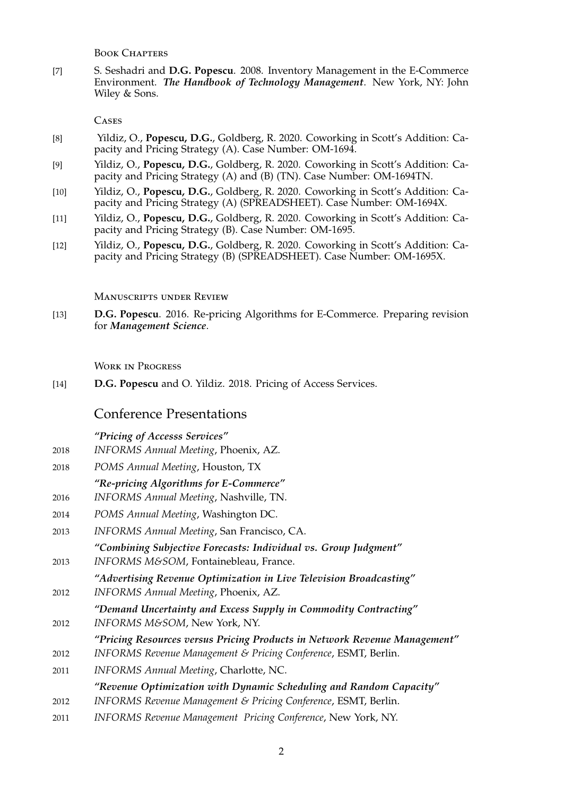BOOK CHAPTERS

[7] S. Seshadri and **D.G. Popescu**. 2008. Inventory Management in the E-Commerce Environment. *The Handbook of Technology Management*. New York, NY: John Wiley & Sons.

**CASES** 

- [8] Yildiz, O., **Popescu, D.G.**, Goldberg, R. 2020. Coworking in Scott's Addition: Capacity and Pricing Strategy (A). Case Number: OM-1694.
- [9] Yildiz, O., **Popescu, D.G.**, Goldberg, R. 2020. Coworking in Scott's Addition: Capacity and Pricing Strategy (A) and (B) (TN). Case Number: OM-1694TN.
- [10] Yildiz, O., **Popescu, D.G.**, Goldberg, R. 2020. Coworking in Scott's Addition: Capacity and Pricing Strategy (A) (SPREADSHEET). Case Number: OM-1694X.
- [11] Yildiz, O., **Popescu, D.G.**, Goldberg, R. 2020. Coworking in Scott's Addition: Capacity and Pricing Strategy (B). Case Number: OM-1695.
- [12] Yildiz, O., **Popescu, D.G.**, Goldberg, R. 2020. Coworking in Scott's Addition: Capacity and Pricing Strategy (B) (SPREADSHEET). Case Number: OM-1695X.

Manuscripts under Review

[13] **D.G. Popescu**. 2016. Re-pricing Algorithms for E-Commerce. Preparing revision for *Management Science*.

Work in Progress

[14] **D.G. Popescu** and O. Yildiz. 2018. Pricing of Access Services.

### Conference Presentations

*"Pricing of Accesss Services"*

- 2018 *INFORMS Annual Meeting*, Phoenix, AZ.
- 2018 *POMS Annual Meeting*, Houston, TX

### *"Re-pricing Algorithms for E-Commerce"*

- 2016 *INFORMS Annual Meeting*, Nashville, TN.
- 2014 *POMS Annual Meeting*, Washington DC.
- 2013 *INFORMS Annual Meeting*, San Francisco, CA.
- *"Combining Subjective Forecasts: Individual vs. Group Judgment"* 2013 *INFORMS M&SOM*, Fontainebleau, France.
- *"Advertising Revenue Optimization in Live Television Broadcasting"* 2012 *INFORMS Annual Meeting*, Phoenix, AZ.
- *"Demand Uncertainty and Excess Supply in Commodity Contracting"*
- 2012 *INFORMS M&SOM*, New York, NY.
	- *"Pricing Resources versus Pricing Products in Network Revenue Management"*
- 2012 *INFORMS Revenue Management & Pricing Conference*, ESMT, Berlin.
- 2011 *INFORMS Annual Meeting*, Charlotte, NC.

### *"Revenue Optimization with Dynamic Scheduling and Random Capacity"*

- 2012 *INFORMS Revenue Management & Pricing Conference*, ESMT, Berlin.
- 2011 *INFORMS Revenue Management Pricing Conference*, New York, NY.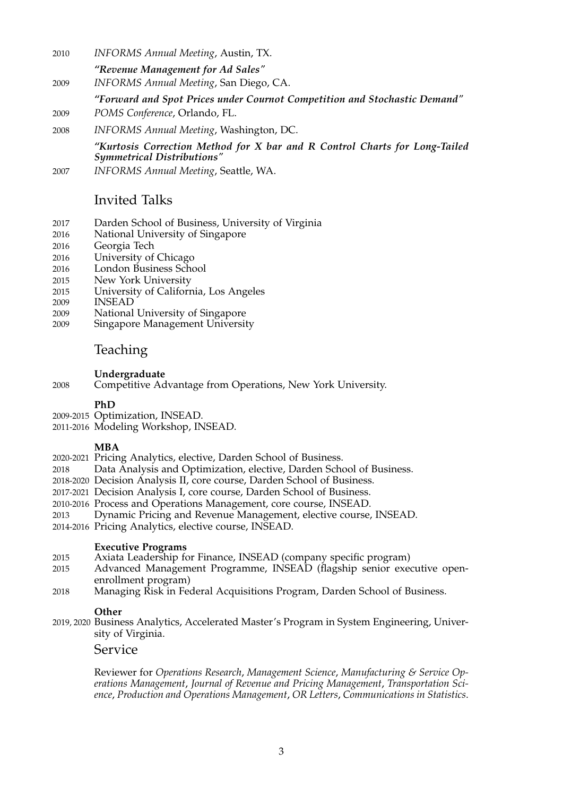- 2010 *INFORMS Annual Meeting*, Austin, TX.
	- *"Revenue Management for Ad Sales"*
- 2009 *INFORMS Annual Meeting*, San Diego, CA.
- *"Forward and Spot Prices under Cournot Competition and Stochastic Demand"*
- 2009 *POMS Conference*, Orlando, FL.
- 2008 *INFORMS Annual Meeting*, Washington, DC.

*"Kurtosis Correction Method for X bar and R Control Charts for Long-Tailed Symmetrical Distributions"*

2007 *INFORMS Annual Meeting*, Seattle, WA.

### Invited Talks

- 2017 Darden School of Business, University of Virginia
- National University of Singapore
- 2016 Georgia Tech
- 2016 University of Chicago
- 2016 London Business School
- 2015 New York University
- 2015 University of California, Los Angeles
- 2009 INSEAD
- 2009 National University of Singapore<br>2009 Singapore Management Universit
- Singapore Management University

# Teaching

#### **Undergraduate**

2008 Competitive Advantage from Operations, New York University.

### **PhD**

- 2009-2015 Optimization, INSEAD.
- 2011-2016 Modeling Workshop, INSEAD.

### **MBA**

- 2020-2021 Pricing Analytics, elective, Darden School of Business.
- 2018 Data Analysis and Optimization, elective, Darden School of Business.
- 2018-2020 Decision Analysis II, core course, Darden School of Business.
- 2017-2021 Decision Analysis I, core course, Darden School of Business.
- 2010-2016 Process and Operations Management, core course, INSEAD.
- 2013 Dynamic Pricing and Revenue Management, elective course, INSEAD.
- 2014-2016 Pricing Analytics, elective course, INSEAD.

#### **Executive Programs**

- 2015 Axiata Leadership for Finance, INSEAD (company specific program)
- 2015 Advanced Management Programme, INSEAD (flagship senior executive openenrollment program)
- 2018 Managing Risk in Federal Acquisitions Program, Darden School of Business.

#### **Other**

2019, 2020 Business Analytics, Accelerated Master's Program in System Engineering, University of Virginia.

### Service

Reviewer for *Operations Research*, *Management Science*, *Manufacturing & Service Operations Management*, *Journal of Revenue and Pricing Management*, *Transportation Science*, *Production and Operations Management*, *OR Letters*, *Communications in Statistics*.